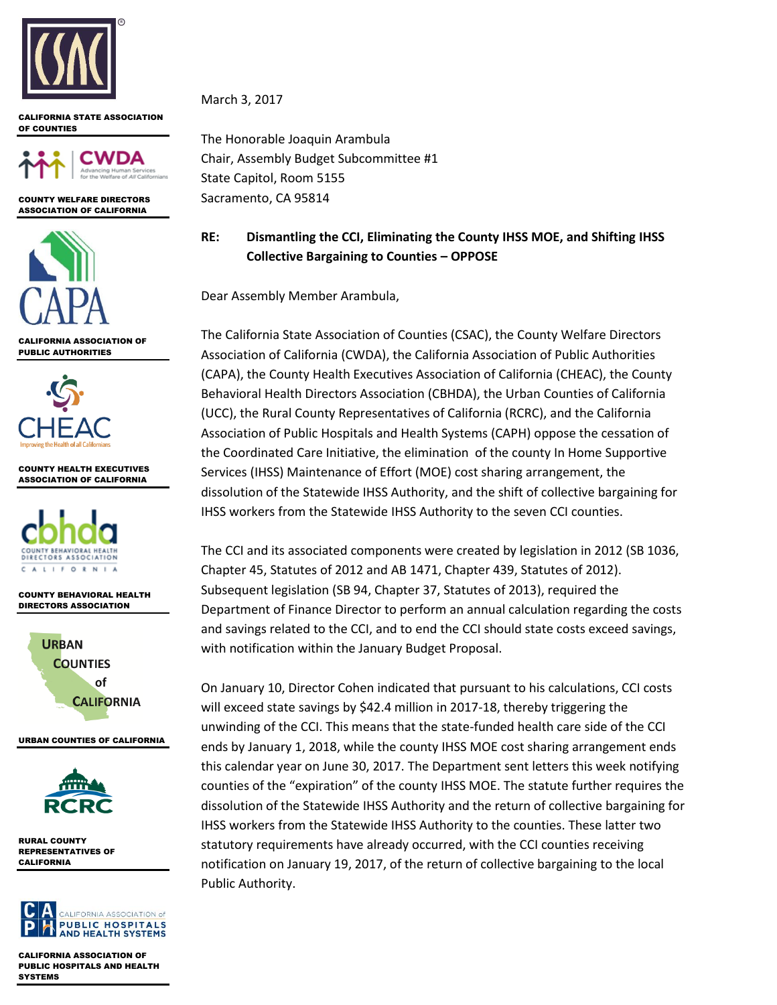

#### CALIFORNIA STATE ASSOCIATION OF COUNTIES



COUNTY WELFARE DIRECTORS ASSOCIATION OF CALIFORNIA



CALIFORNIA ASSOCIATION OF PUBLIC AUTHORITIES



COUNTY HEALTH EXECUTIVES ASSOCIATION OF CALIFORNIA



COUNTY BEHAVIORAL HEALTH DIRECTORS ASSOCIATION



URBAN COUNTIES OF CALIFORNIA



RURAL COUNTY REPRESENTATIVES OF CALIFORNIA



CALIFORNIA ASSOCIATION OF PUBLIC HOSPITALS AND HEALTH **SYSTEMS** 

March 3, 2017

The Honorable Joaquin Arambula Chair, Assembly Budget Subcommittee #1 State Capitol, Room 5155 Sacramento, CA 95814

# **RE: Dismantling the CCI, Eliminating the County IHSS MOE, and Shifting IHSS Collective Bargaining to Counties – OPPOSE**

Dear Assembly Member Arambula,

The California State Association of Counties (CSAC), the County Welfare Directors Association of California (CWDA), the California Association of Public Authorities (CAPA), the County Health Executives Association of California (CHEAC), the County Behavioral Health Directors Association (CBHDA), the Urban Counties of California (UCC), the Rural County Representatives of California (RCRC), and the California Association of Public Hospitals and Health Systems (CAPH) oppose the cessation of the Coordinated Care Initiative, the elimination of the county In Home Supportive Services (IHSS) Maintenance of Effort (MOE) cost sharing arrangement, the dissolution of the Statewide IHSS Authority, and the shift of collective bargaining for IHSS workers from the Statewide IHSS Authority to the seven CCI counties.

The CCI and its associated components were created by legislation in 2012 (SB 1036, Chapter 45, Statutes of 2012 and AB 1471, Chapter 439, Statutes of 2012). Subsequent legislation (SB 94, Chapter 37, Statutes of 2013), required the Department of Finance Director to perform an annual calculation regarding the costs and savings related to the CCI, and to end the CCI should state costs exceed savings, with notification within the January Budget Proposal.

On January 10, Director Cohen indicated that pursuant to his calculations, CCI costs will exceed state savings by \$42.4 million in 2017-18, thereby triggering the unwinding of the CCI. This means that the state-funded health care side of the CCI ends by January 1, 2018, while the county IHSS MOE cost sharing arrangement ends this calendar year on June 30, 2017. The Department sent letters this week notifying counties of the "expiration" of the county IHSS MOE. The statute further requires the dissolution of the Statewide IHSS Authority and the return of collective bargaining for IHSS workers from the Statewide IHSS Authority to the counties. These latter two statutory requirements have already occurred, with the CCI counties receiving notification on January 19, 2017, of the return of collective bargaining to the local Public Authority.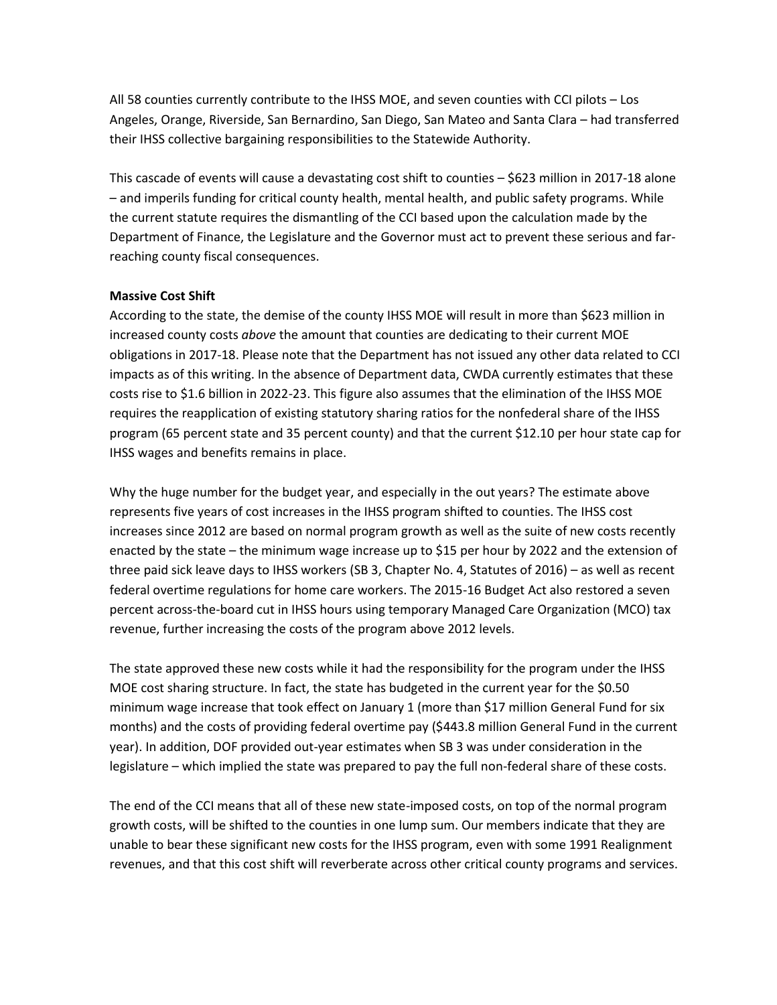All 58 counties currently contribute to the IHSS MOE, and seven counties with CCI pilots – Los Angeles, Orange, Riverside, San Bernardino, San Diego, San Mateo and Santa Clara – had transferred their IHSS collective bargaining responsibilities to the Statewide Authority.

This cascade of events will cause a devastating cost shift to counties – \$623 million in 2017-18 alone – and imperils funding for critical county health, mental health, and public safety programs. While the current statute requires the dismantling of the CCI based upon the calculation made by the Department of Finance, the Legislature and the Governor must act to prevent these serious and farreaching county fiscal consequences.

### **Massive Cost Shift**

According to the state, the demise of the county IHSS MOE will result in more than \$623 million in increased county costs *above* the amount that counties are dedicating to their current MOE obligations in 2017-18. Please note that the Department has not issued any other data related to CCI impacts as of this writing. In the absence of Department data, CWDA currently estimates that these costs rise to \$1.6 billion in 2022-23. This figure also assumes that the elimination of the IHSS MOE requires the reapplication of existing statutory sharing ratios for the nonfederal share of the IHSS program (65 percent state and 35 percent county) and that the current \$12.10 per hour state cap for IHSS wages and benefits remains in place.

Why the huge number for the budget year, and especially in the out years? The estimate above represents five years of cost increases in the IHSS program shifted to counties. The IHSS cost increases since 2012 are based on normal program growth as well as the suite of new costs recently enacted by the state – the minimum wage increase up to \$15 per hour by 2022 and the extension of three paid sick leave days to IHSS workers (SB 3, Chapter No. 4, Statutes of 2016) – as well as recent federal overtime regulations for home care workers. The 2015-16 Budget Act also restored a seven percent across-the-board cut in IHSS hours using temporary Managed Care Organization (MCO) tax revenue, further increasing the costs of the program above 2012 levels.

The state approved these new costs while it had the responsibility for the program under the IHSS MOE cost sharing structure. In fact, the state has budgeted in the current year for the \$0.50 minimum wage increase that took effect on January 1 (more than \$17 million General Fund for six months) and the costs of providing federal overtime pay (\$443.8 million General Fund in the current year). In addition, DOF provided out-year estimates when SB 3 was under consideration in the legislature – which implied the state was prepared to pay the full non-federal share of these costs.

The end of the CCI means that all of these new state-imposed costs, on top of the normal program growth costs, will be shifted to the counties in one lump sum. Our members indicate that they are unable to bear these significant new costs for the IHSS program, even with some 1991 Realignment revenues, and that this cost shift will reverberate across other critical county programs and services.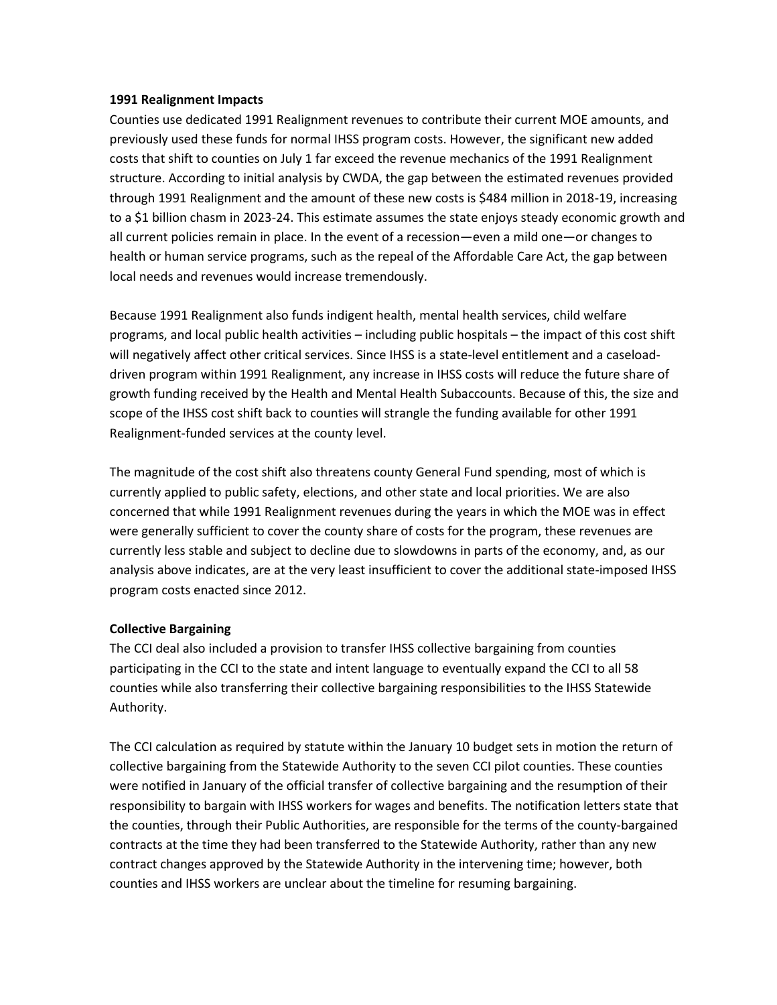### **1991 Realignment Impacts**

Counties use dedicated 1991 Realignment revenues to contribute their current MOE amounts, and previously used these funds for normal IHSS program costs. However, the significant new added costs that shift to counties on July 1 far exceed the revenue mechanics of the 1991 Realignment structure. According to initial analysis by CWDA, the gap between the estimated revenues provided through 1991 Realignment and the amount of these new costs is \$484 million in 2018-19, increasing to a \$1 billion chasm in 2023-24. This estimate assumes the state enjoys steady economic growth and all current policies remain in place. In the event of a recession—even a mild one—or changes to health or human service programs, such as the repeal of the Affordable Care Act, the gap between local needs and revenues would increase tremendously.

Because 1991 Realignment also funds indigent health, mental health services, child welfare programs, and local public health activities – including public hospitals – the impact of this cost shift will negatively affect other critical services. Since IHSS is a state-level entitlement and a caseloaddriven program within 1991 Realignment, any increase in IHSS costs will reduce the future share of growth funding received by the Health and Mental Health Subaccounts. Because of this, the size and scope of the IHSS cost shift back to counties will strangle the funding available for other 1991 Realignment-funded services at the county level.

The magnitude of the cost shift also threatens county General Fund spending, most of which is currently applied to public safety, elections, and other state and local priorities. We are also concerned that while 1991 Realignment revenues during the years in which the MOE was in effect were generally sufficient to cover the county share of costs for the program, these revenues are currently less stable and subject to decline due to slowdowns in parts of the economy, and, as our analysis above indicates, are at the very least insufficient to cover the additional state-imposed IHSS program costs enacted since 2012.

## **Collective Bargaining**

The CCI deal also included a provision to transfer IHSS collective bargaining from counties participating in the CCI to the state and intent language to eventually expand the CCI to all 58 counties while also transferring their collective bargaining responsibilities to the IHSS Statewide Authority.

The CCI calculation as required by statute within the January 10 budget sets in motion the return of collective bargaining from the Statewide Authority to the seven CCI pilot counties. These counties were notified in January of the official transfer of collective bargaining and the resumption of their responsibility to bargain with IHSS workers for wages and benefits. The notification letters state that the counties, through their Public Authorities, are responsible for the terms of the county-bargained contracts at the time they had been transferred to the Statewide Authority, rather than any new contract changes approved by the Statewide Authority in the intervening time; however, both counties and IHSS workers are unclear about the timeline for resuming bargaining.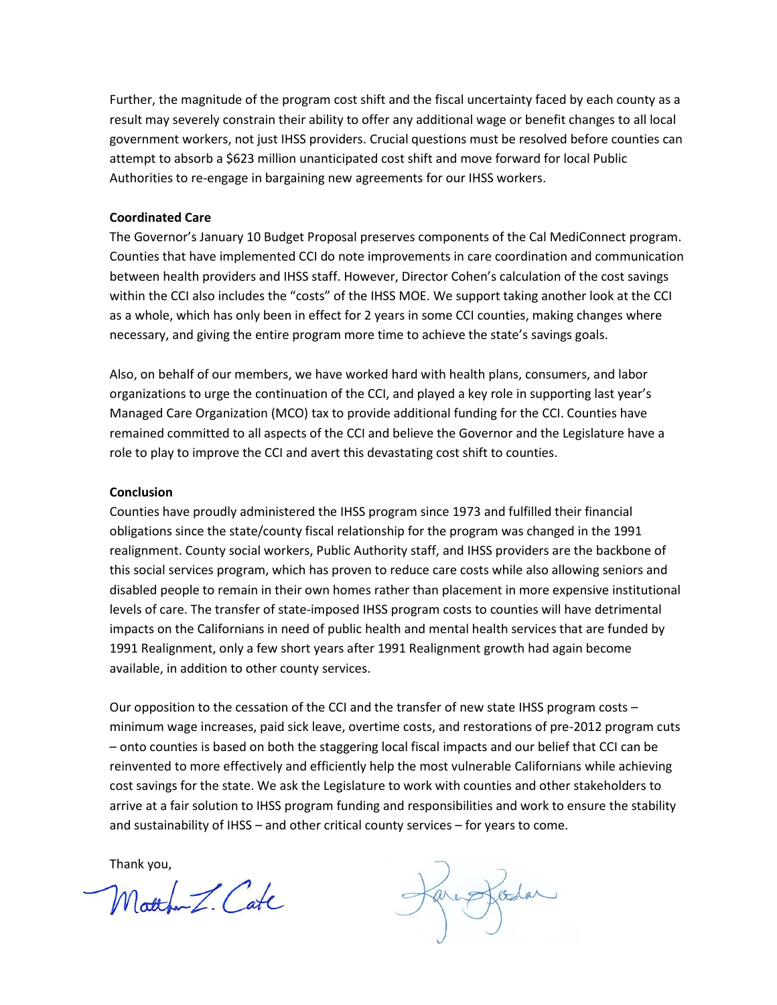Further, the magnitude of the program cost shift and the fiscal uncertainty faced by each county as a result may severely constrain their ability to offer any additional wage or benefit changes to all local government workers, not just IHSS providers. Crucial questions must be resolved before counties can attempt to absorb a \$623 million unanticipated cost shift and move forward for local Public Authorities to re-engage in bargaining new agreements for our IHSS workers.

#### **Coordinated Care**

The Governor's January 10 Budget Proposal preserves components of the Cal MediConnect program. Counties that have implemented CCI do note improvements in care coordination and communication between health providers and IHSS staff. However, Director Cohen's calculation of the cost savings within the CCI also includes the "costs" of the IHSS MOE. We support taking another look at the CCI as a whole, which has only been in effect for 2 years in some CCI counties, making changes where necessary, and giving the entire program more time to achieve the state's savings goals.

Also, on behalf of our members, we have worked hard with health plans, consumers, and labor organizations to urge the continuation of the CCI, and played a key role in supporting last year's Managed Care Organization (MCO) tax to provide additional funding for the CCI. Counties have remained committed to all aspects of the CCI and believe the Governor and the Legislature have a role to play to improve the CCI and avert this devastating cost shift to counties.

#### **Conclusion**

Counties have proudly administered the IHSS program since 1973 and fulfilled their financial obligations since the state/county fiscal relationship for the program was changed in the 1991 realignment. County social workers, Public Authority staff, and IHSS providers are the backbone of this social services program, which has proven to reduce care costs while also allowing seniors and disabled people to remain in their own homes rather than placement in more expensive institutional levels of care. The transfer of state-imposed IHSS program costs to counties will have detrimental impacts on the Californians in need of public health and mental health services that are funded by 1991 Realignment, only a few short years after 1991 Realignment growth had again become available, in addition to other county services.

Our opposition to the cessation of the CCI and the transfer of new state IHSS program costs – minimum wage increases, paid sick leave, overtime costs, and restorations of pre-2012 program cuts – onto counties is based on both the staggering local fiscal impacts and our belief that CCI can be reinvented to more effectively and efficiently help the most vulnerable Californians while achieving cost savings for the state. We ask the Legislature to work with counties and other stakeholders to arrive at a fair solution to IHSS program funding and responsibilities and work to ensure the stability and sustainability of IHSS – and other critical county services – for years to come.

Thank you,

Motton Z. Cate

arestodar